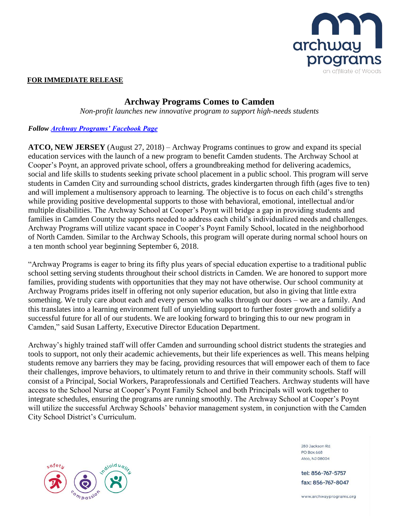

## **FOR IMMEDIATE RELEASE**

## **Archway Programs Comes to Camden**

*Non-profit launches new innovative program to support high-needs students*

## *Follow [Archway Programs' Facebook Page](https://www.facebook.com/ArchwayPrograms/)*

**ATCO, NEW JERSEY** (August 27, 2018) – Archway Programs continues to grow and expand its special education services with the launch of a new program to benefit Camden students. The Archway School at Cooper's Poynt, an approved private school, offers a groundbreaking method for delivering academics, social and life skills to students seeking private school placement in a public school. This program will serve students in Camden City and surrounding school districts, grades kindergarten through fifth (ages five to ten) and will implement a multisensory approach to learning. The objective is to focus on each child's strengths while providing positive developmental supports to those with behavioral, emotional, intellectual and/or multiple disabilities. The Archway School at Cooper's Poynt will bridge a gap in providing students and families in Camden County the supports needed to address each child's individualized needs and challenges. Archway Programs will utilize vacant space in Cooper's Poynt Family School, located in the neighborhood of North Camden. Similar to the Archway Schools, this program will operate during normal school hours on a ten month school year beginning September 6, 2018.

"Archway Programs is eager to bring its fifty plus years of special education expertise to a traditional public school setting serving students throughout their school districts in Camden. We are honored to support more families, providing students with opportunities that they may not have otherwise. Our school community at Archway Programs prides itself in offering not only superior education, but also in giving that little extra something. We truly care about each and every person who walks through our doors – we are a family. And this translates into a learning environment full of unyielding support to further foster growth and solidify a successful future for all of our students. We are looking forward to bringing this to our new program in Camden," said Susan Lafferty, Executive Director Education Department.

Archway's highly trained staff will offer Camden and surrounding school district students the strategies and tools to support, not only their academic achievements, but their life experiences as well. This means helping students remove any barriers they may be facing, providing resources that will empower each of them to face their challenges, improve behaviors, to ultimately return to and thrive in their community schools. Staff will consist of a Principal, Social Workers, Paraprofessionals and Certified Teachers. Archway students will have access to the School Nurse at Cooper's Poynt Family School and both Principals will work together to integrate schedules, ensuring the programs are running smoothly. The Archway School at Cooper's Poynt will utilize the successful Archway Schools' behavior management system, in conjunction with the Camden City School District's Curriculum.



280 Jackson Rd **PO Box 668** Atco NJ 08004

tel: 856-767-5757 fax: 856-767-8047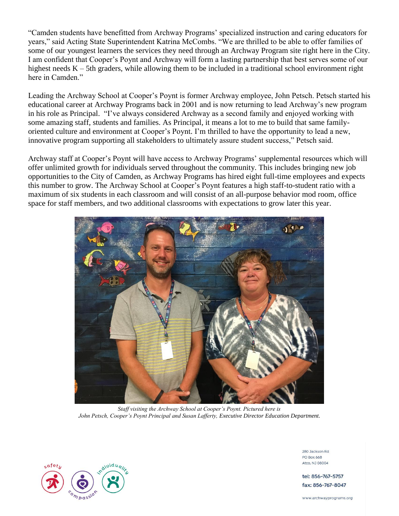"Camden students have benefitted from Archway Programs' specialized instruction and caring educators for years," said Acting State Superintendent Katrina McCombs. "We are thrilled to be able to offer families of some of our youngest learners the services they need through an Archway Program site right here in the City. I am confident that Cooper's Poynt and Archway will form a lasting partnership that best serves some of our highest needs K – 5th graders, while allowing them to be included in a traditional school environment right here in Camden."

Leading the Archway School at Cooper's Poynt is former Archway employee, John Petsch. Petsch started his educational career at Archway Programs back in 2001 and is now returning to lead Archway's new program in his role as Principal. "I've always considered Archway as a second family and enjoyed working with some amazing staff, students and families. As Principal, it means a lot to me to build that same familyoriented culture and environment at Cooper's Poynt. I'm thrilled to have the opportunity to lead a new, innovative program supporting all stakeholders to ultimately assure student success," Petsch said.

Archway staff at Cooper's Poynt will have access to Archway Programs' supplemental resources which will offer unlimited growth for individuals served throughout the community. This includes bringing new job opportunities to the City of Camden, as Archway Programs has hired eight full-time employees and expects this number to grow. The Archway School at Cooper's Poynt features a high staff-to-student ratio with a maximum of six students in each classroom and will consist of an all-purpose behavior mod room, office space for staff members, and two additional classrooms with expectations to grow later this year.



*Staff visiting the Archway School at Cooper's Poynt. Pictured here is John Petsch, Cooper's Poynt Principal and Susan Lafferty, Executive Director Education Department.*



280 Jackson Rd **PO Box 668** Atco, NJ 08004

tel: 856-767-5757 fax: 856-767-8047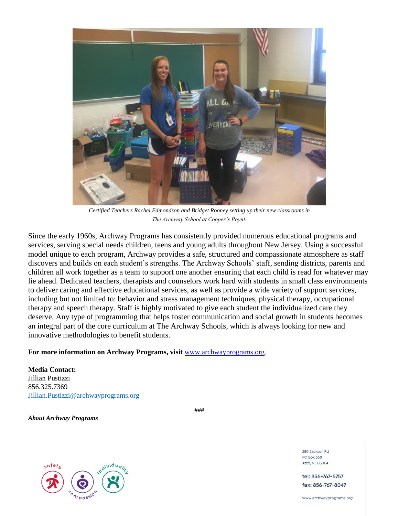

*Certified Teachers Rachel Edmondson and Bridget Rooney setting up their new classrooms in The Archway School at Cooper's Poynt.*

Since the early 1960s, Archway Programs has consistently provided numerous educational programs and services, serving special needs children, teens and young adults throughout New Jersey. Using a successful model unique to each program, Archway provides a safe, structured and compassionate atmosphere as staff discovers and builds on each student's strengths. The Archway Schools' staff, sending districts, parents and children all work together as a team to support one another ensuring that each child is read for whatever may lie ahead. Dedicated teachers, therapists and counselors work hard with students in small class environments to deliver caring and effective educational services, as well as provide a wide variety of support services, including but not limited to: behavior and stress management techniques, physical therapy, occupational therapy and speech therapy. Staff is highly motivated to give each student the individualized care they deserve. Any type of programming that helps foster communication and social growth in students becomes an integral part of the core curriculum at The Archway Schools, which is always looking for new and innovative methodologies to benefit students.

## **For more information on Archway Programs, visit** [www.archwayprograms.org.](http://www.archwayprograms.org/)

**Media Contact:** Jillian Pustizzi 856.325.7369 [Jillian.Pustizzi@archwayprograms.org](mailto:Jillian.Pustizzi@archwayprograms.org)

*About Archway Programs*

###



280 Jackson Rd **PO Box 668** Atco, NJ 08004

tel: 856-767-5757 fax: 856-767-8047